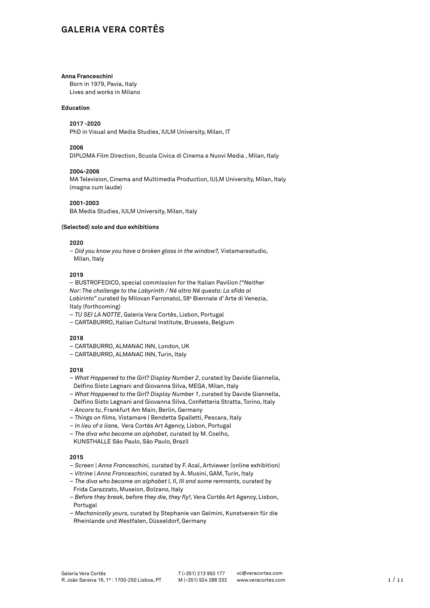# **GALERIA VERA CORTÊS**

#### **Anna Franceschini**

Born in 1979, Pavia, Italy Lives and works in Milano

# **Education**

# **2017 -2020**

PhD in Visual and Media Studies, IULM University, Milan, IT

#### **2006**

DIPLOMA Film Direction, Scuola Civica di Cinema e Nuovi Media , Milan, Italy

#### **2004-2006**

MA Television, Cinema and Multimedia Production, IULM University, Milan, Italy (magna cum laude)

# **2001-2003**

BA Media Studies, IULM University, Milan, Italy

# **(Selected) solo and duo exhibitions**

#### **2020**

– *Did you know you have a broken glass in the window?,* Vistamarestudio, Milan, Italy

### **2019**

– BUSTROFEDICO, special commission for the Italian Pavilion *("Neither Nor: The challenge to the Labyrinth / Né altra Né questa: La sfida al*  Labirinto" curated by Milovan Farronato), 58ª Biennale d'Arte di Venezia, Italy (forthcoming)

- *TU SEI LA NOTTE*, Galeria Vera Cortês, Lisbon, Portugal
- CARTABURRO, Italian Cultural Institute, Brussels, Belgium

# **2018**

- CARTABURRO, ALMANAC INN, London, UK
- CARTABURRO, ALMANAC INN, Turin, Italy

### **2016**

- *What Happened to the Girl? Display Number 2*, curated by Davide Giannella, Delfino Sisto Legnani and Giovanna Silva, MEGA, Milan, Italy
- *What Happened to the Girl? Display Number 1*, curated by Davide Giannella, Delfino Sisto Legnani and Giovanna Silva, Confetteria Stratta, Torino, Italy
- *Ancora tu*, Frankfurt Am Main, Berlin, Germany
- *Things on films,* Vistamare | Bendetta Spalletti, Pescara, Italy
- *In lieu of a liane,* Vera Cortés Art Agency, Lisbon, Portugal
- *The diva who became an alphabet,* curated by M. Coelho,
- KUNSTHALLE São Paulo, São Paulo, Brazil

- *Screen | Anna Franceschini,* curated by F. Acal, Artviewer (online exhibition)
- *Vitrine | Anna Franceschini,* curated by A. Musini, GAM, Turin, Italy
- *The diva who became an alphabet I, II, III and some remnants,* curated by Frida Carazzato, Museion, Bolzano, Italy
- – *Before they break, before they die, they fly!,* Vera Cortês Art Agency, Lisbon, Portugal
- *Mechanically yours,* curated by Stephanie van Gelmini, Kunstverein für die Rheinlande und Westfalen, Düsseldorf, Germany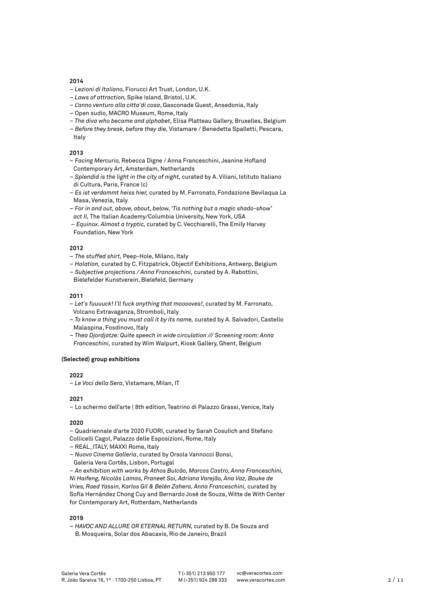- – *Lezioni di Italiano,* Fiorucci Art Trust, London, U.K.
- – *Laws of attraction,* Spike Island, Bristol, U.K.
- *L'anno venturo alla citta´di cosa*, Gasconade Guest, Ansedonia, Italy
- Open sudio, MACRO Museum, Rome, Italy
- – *The diva who became and alphabet,* Elisa Platteau Gallery, Bruxelles, Belgium
- *Before they break, before they die,* Vistamare / Benedetta Spalletti, Pescara, Italy

# **2013**

- *Facing Mercurio,* Rebecca Digne / Anna Franceschini, Jeanine Hofland Contemporary Art, Amsterdam, Netherlands
- *Splendid is the light in the city of night,* curated by A. Viliani, Istituto Italiano di Cultura, Paris, France (c)
- *Es ist verdammt heiss hier,* curated by M. Farronato, Fondazione Bevilaqua La Masa, Venezia, Italy
- *For in and out, above, about, below, 'Tis nothing but a magic shado-show' act II,* The Italian Academy/Columbia University, New York, USA
- – *Equinox. Almost a tryptic,* curated by C. Vecchiarelli, The Emily Harvey Foundation, New York

#### **2012**

- *The stuffed shirt,* Peep-Hole, Milano, Italy
- *Halation,* curated by C. Fitzpatrick, Objectif Exhibitions, Antwerp, Belgium
- *Subjective projections / Anna Franceschini,* curated by A. Rabottini,
- Bielefelder Kunstverein, Bielefeld, Germany

## **2011**

- – *Let´s fuuuuck! I´ll fuck anything that mooooves!,* curated by M. Farronato, Volcano Extravaganza, Stromboli, Italy
- – *To know a thing you must call it by its name,* curated by A. Salvadori, Castello Malaspina, Fosdinovo, Italy
- – *Thea Djordjatze: Quite speech in wide circulation /// Screening room: Anna Franceschini,* curated by Wim Walpurt, Kiosk Gallery, Ghent, Belgium

#### **(Selected) group exhibitions**

# **2022**

– *Le Voci della Sera,* Vistamare, Milan, IT

# **2021**

– Lo schermo dell'arte | 8th edition, Teatrino di Palazzo Grassi, Venice, Italy

# **2020**

– Quadriennale d'arte 2020 FUORI, curated by Sarah Cosulich and Stefano Collicelli Cagol, Palazzo delle Esposizioni, Rome, Italy

- REAL\_ITALY, MAXXI Rome, Italy
- *Nuovo Cinema Galleria*, curated by Orsola Vannocci Bonsi, Galeria Vera Cortês, Lisbon, Portugal

– *An exhibition with works by Athos Bulcão, Marcos Castro, Anna Franceschini, Ni Haifeng, Nicolás Lamas, Praneet Soi, Adriana Varejão, Ana Vaz, Bouke de Vries, Raed Yassin, Karlos Gil & Belén Zahera, Anna Franceschini,* curated by Sofía Hernández Chong Cuy and Bernardo José de Souza, Witte de With Center for Contemporary Art, Rotterdam, Netherlands

#### **2019**

– *HAVOC AND ALLURE OR ETERNAL RETURN,* curated by B. De Souza and B. Mosqueira, Solar dos Abacaxis, Rio de Janeiro, Brazil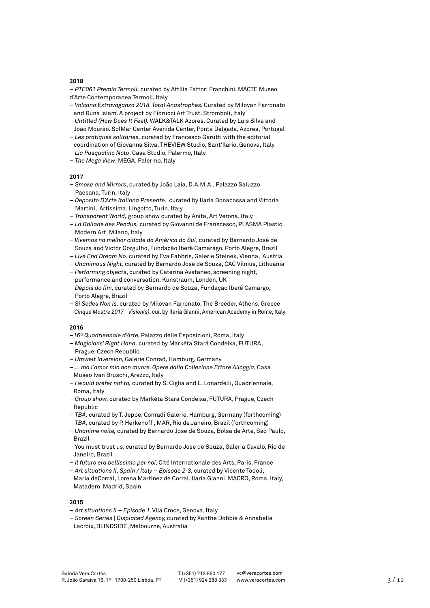– *PTE061 Premio Termoli,* curated by Attilia Fattori Franchini, MACTE Museo d'Arte Contemporanea Termoli, Italy

- *Volcano Extravaganza 2018. Total Anastrophes.* Curated by Milovan Farronato and Runa Islam. A project by Fiorucci Art Trust. Stromboli, Italy
- – *Untitled (How Does It Feel).* WALK&TALK Azores. Curated by Luis Silva and João Mourão. SolMar Center Avenida Center, Ponta Delgada, Azores, Portugal
- *Les pratiques solitaries,* curated by Francesco Garutti with the editorial coordination of Giovanna Silva, THEVIEW Studio, Sant'Ilario, Genova, Italy
- *Lia Pasqualino Noto*, Casa Studio, Palermo, Italy
- *The Mega View*, MEGA, Palermo, Italy

# **2017**

- *Smoke and Mirrors*, curated by João Laia, D.A.M.A., Palazzo Saluzzo Paesana, Turin, Italy
- *Deposito D'Arte Italiana Presente*, curated by Ilaria Bonacossa and Vittoria Martini, Artissima, Lingotto, Turin, Italy
- *Transparent World,* group show curated by Anita, Art Verona, Italy
- *La Ballade des Pendus,* curated by Giovanni de Franscesco, PLASMA Plastic – Modern Art, Milano, Italy
- – *Vivemos na melhor cidade da América do Sul*, curated by Bernardo José de – Souza and Victor Gorgulho, Fundação Iberê Camarago, Porto Alegre, Brazil
- *Live End Dream No*, curated by Eva Fabbris, Galerie Steinek, Vienna, Austria
- *Unanimous Night*, curated by Bernardo José de Souza, CAC Vilnius, Lithuania – *Performing objects*, curated by Caterina Avataneo, screening night,
- performance and conversation, Kunstraum, London, UK
- *Depois do fim,* curated by Bernardo de Souza, Fundação Iberê Camargo, – Porto Alegre, Brazil
- *Si Sedes Non is,* curated by Milovan Farronato, The Breeder, Athens, Greece
- *Cinque Mostre 2017 Vision(s)*, cur. by Ilaria Gianni, American Academy in Rome, Italy

# **2016**

- –*16ª Quadriennale d'Arte,* Palazzo delle Esposizioni, Roma, Italy
- – *Magicians' Right Hand,* curated by Markéta Stará Condeixa, FUTURA, – Prague, Czech Republic
- *Umwelt Inversion,* Galerie Conrad, Hamburg, Germany
- – *... ma l´amor mio non muore. Opere dalla Collezione Ettore Alloggia,* Casa Museo Ivan Bruschi, Arezzo, Italy
- *I would prefer not to,* curated by S. Ciglia and L. Lonardelli, Quadriennale, Roma, Italy
- *Group show,* curated by Markéta Stara Condeixa, FUTURA, Prague, Czech Republic
- *TBA,* curated by T. Jeppe, Conradi Galerie, Hamburg, Germany (forthcoming)
- *TBA,* curated by P. Herkenoff , MAR, Rio de Janeiro, Brazil (forthcoming)
- – *Unanime noite,* curated by Bernardo Jose de Souza, Bolsa de Arte, São Paulo, Brazil
- You must trust us, curated by Bernardo Jose de Souza, Galeria Cavalo, Rio de Janeiro, Brazil
- *Il futuro era bellissimo per noi,* Cité Internationale des Arts, Paris, France
- *Art situations II, Spain / Italy Episode 2-3,* curated by Vicente Todoli, Maria deCorral, Lorena Martinez de Corral, Ilaria Gianni, MACRO, Roma, Italy, Matadero, Madrid, Spain

- *Art situations II Episode 1,* Vila Croce, Genova, Italy
- *Screen Series | Displaced Agency,* curated by Xanthe Dobbie & Annabelle Lacroix, BLINDSIDE, Melbourne, Australia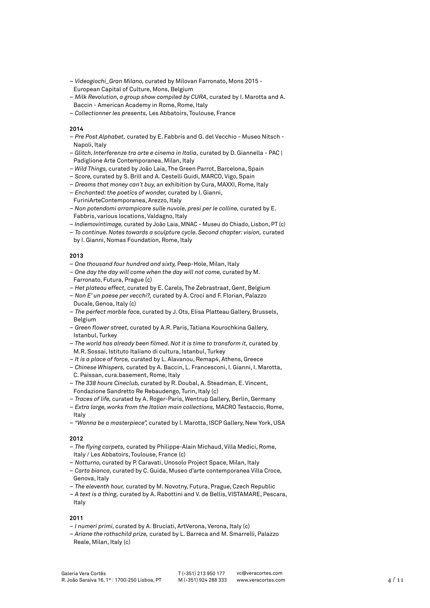- *Videogiochi\_Gran Milano,* curated by Milovan Farronato, Mons 2015 European Capital of Culture, Mons, Belgium
- *Milk Revolution, a group show compiled by CURA,* curated by I. Marotta and A. Baccin - American Academy in Rome, Rome, Italy
- *Collectionner les presents,* Les Abbatoirs, Toulouse, France

- *Pre Post Alphabet,* curated by E. Fabbris and G. del Vecchio Museo Nitsch Napoli, Italy
- – *Glitch. Interferenze tra arte e cinema in Italia,* curated by D. Giannella PAC | Padiglione Arte Contemporanea, Milan, Italy
- – *Wild Things,* curated by João Laia, The Green Parrot, Barcelona, Spain
- – *Score,* curated by S. Brill and A. Cestelli Guidi, MARCO, Vigo, Spain
- *Dreams that money can´t buy,* an exhibition by Cura, MAXXI, Rome, Italy
- *Enchanted: the poetics of wonder,* curated by I. Gianni, FuriniArteContemporanea, Arezzo, Italy
- – *Non potendomi arrampicare sulle nuvole, presi per le colline,* curated by E. Fabbris, various locations, Valdagno, Italy
- *Indiemovintimage,* curated by João Laia, MNAC Museu do Chiado, Lisbon, PT (c)
- *To continue. Notes towards a sculpture cycle. Second chapter: vision,* curated by I. Gianni, Nomas Foundation, Rome, Italy

# **2013**

- *One thousand four hundred and sixty,* Peep-Hole, Milan, Italy
- *One day the day will come when the day will not come,* curated by M. Farronato, Futura, Prague (c)
- *Het plateau effect,* curated by E. Carels, The Zebrastraat, Gent, Belgium
- *Non E' un paese per vecchi?,* curated by A. Croci and F. Florian, Palazzo Ducale, Genoa, Italy (c)
- *The perfect marble face,* curated by J. Ots, Elisa Platteau Gallery, Brussels, Belgium
- *Green flower street,* curated by A.R. Paris, Tatiana Kourochkina Gallery, Istanbul, Turkey
- *The world has already been filmed. Not it is time to transform it,* curated by M.R. Sossai, Istituto Italiano di cultura, Istanbul, Turkey
- *It is a place of force,* curated by L. Alavanou, Remap4, Athens, Greece
- *Chinese Whispers,* curated by A. Baccin, L. Francesconi, I. Gianni, I. Marotta, C. Paissan, cura.basement, Rome, Italy
- *The 338 hours Cineclub,* curated by R. Doubal, A. Steadman, E. Vincent, Fondazione Sandretto Re Rebaudengo, Turin, Italy (c)
- *Traces of life,* curated by A. Roger-Paris, Wentrup Gallery, Berlin, Germany
- *Extra large, works from the Italian main collections,* MACRO Testaccio, Rome, Italy
- *"Wanna be a masterpiece",* curated by I. Marotta, ISCP Gallery, New York, USA

# **2012**

- *The flying carpets,* curated by Philippe-Alain Michaud, Villa Medici, Rome, Italy / Les Abbatoirs, Toulouse, France (c)
- *Notturno,* curated by P. Caravati, Unosolo Project Space, Milan, Italy
- – *Carta bianca,* curated by C. Guida, Museo d'arte contemporanea Villa Croce, Genova, Italy
- *The eleventh hour,* curated by M. Novotny, Futura, Prague, Czech Republic
- *A text is a thing,* curated by A. Rabottini and V. de Bellis, VISTAMARE, Pescara, Italy

- – *I numeri primi,* curated by A. Bruciati, ArtVerona, Verona, Italy (c)
- – *Ariane the rothschild prize,* curated by L. Barreca and M. Smarrelli, Palazzo Reale, Milan, Italy (c)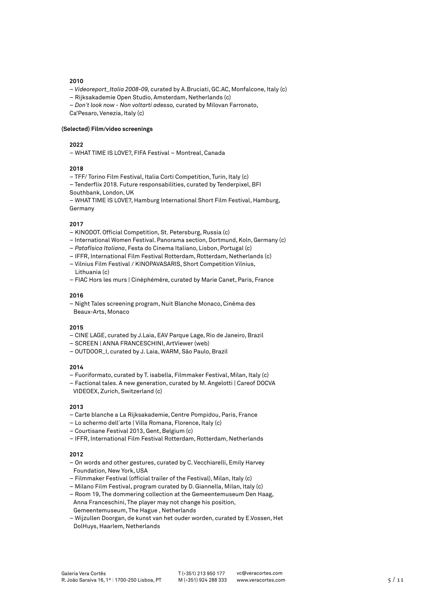- – *Videoreport\_Italia 2008-09,* curated by A.Bruciati, GC.AC, Monfalcone, Italy (c)
- Rijksakademie Open Studio, Amsterdam, Netherlands (c)
- *Don´t look now Non voltarti adesso,* curated by Milovan Farronato,

Ca'Pesaro, Venezia, Italy (c)

#### **(Selected) Film/video screenings**

## **2022**

– WHAT TIME IS LOVE?, FIFA Festival – Montreal, Canada

#### **2018**

- TFF/ Torino Film Festival, Italia Corti Competition, Turin, Italy (c)
- Tenderflix 2018. Future responsabilities, curated by Tenderpixel, BFI Southbank, London, UK

– WHAT TIME IS LOVE?, Hamburg International Short Film Festival, Hamburg, Germany

# **2017**

- KINODOT. Official Competition, St. Petersburg, Russia (c)
- International Women Festival. Panorama section, Dortmund, Koln, Germany (c)
- *Patafísica Italiana*, Festa do Cinema Italiano, Lisbon, Portugal (c)
- IFFR, International Film Festival Rotterdam, Rotterdam, Netherlands (c)
- Vilnius Film Festival / KINOPAVASARIS, Short Competition Vilnius, Lithuania (c)
- FIAC Hors les murs | Cinéphémére, curated by Marie Canet, Paris, France

#### **2016**

– Night Tales screening program, Nuit Blanche Monaco, Cinéma des Beaux-Arts, Monaco

#### **2015**

- CINE LAGE, curated by J.Laia, EAV Parque Lage, Rio de Janeiro, Brazil
- SCREEN | ANNA FRANCESCHINI, ArtViewer (web)
- OUTDOOR\_I, curated by J. Laia, WARM, São Paulo, Brazil

## **2014**

- Fuoriformato, curated by T. isabella, Filmmaker Festival, Milan, Italy (c)
- Factional tales. A new generation, curated by M. Angelotti | Careof DOCVA
- VIDEOEX, Zurich, Switzerland (c)

#### **2013**

- Carte blanche a La Rijksakademie, Centre Pompidou, Paris, France
- Lo schermo dell´arte | Villa Romana, Florence, Italy (c)
- Courtisane Festival 2013, Gent, Belgium (c)
- IFFR, International Film Festival Rotterdam, Rotterdam, Netherlands

- On words and other gestures, curated by C. Vecchiarelli, Emily Harvey Foundation, New York, USA
- Filmmaker Festival (official trailer of the Festival), Milan, Italy (c)
- Milano Film Festival, program curated by D. Giannella, Milan, Italy (c)
- Room 19, The dommering collection at the Gemeentemuseum Den Haag, Anna Franceschini, The player may not change his position,
- Gemeentemuseum, The Hague , Netherlands
- Wijzullen Doorgan, de kunst van het ouder worden, curated by E.Vossen, Het DolHuys, Haarlem, Netherlands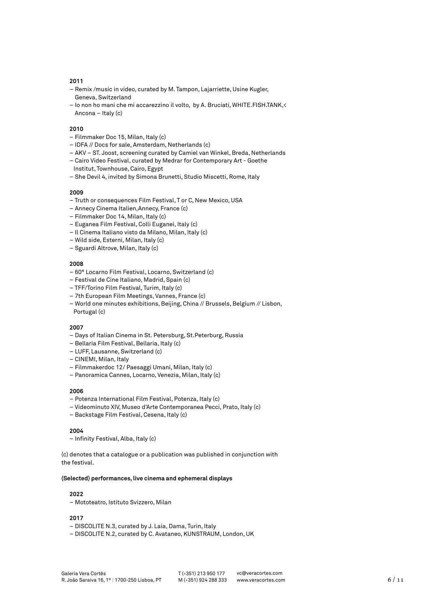- Remix /music in video, curated by M. Tampon, Lajarriette, Usine Kugler, Geneva, Switzerland
- Io non ho mani che mi accarezzino il volto, by A. Bruciati, WHITE.FISH.TANK,< Ancona – Italy (c)

#### **2010**

- Filmmaker Doc 15, Milan, Italy (c)
- IDFA // Docs for sale, Amsterdam, Netherlands (c)
- AKV ST. Joost, screening curated by Camiel van Winkel, Breda, Netherlands
- Cairo Video Festival, curated by Medrar for Contemporary Art Goethe
- Institut, Townhouse, Cairo, Egypt – She Devil 4, invited by Simona Brunetti, Studio Miscetti, Rome, Italy

# **2009**

- Truth or consequences Film Festival, T or C, New Mexico, USA
- Annecy Cinema Italien,Annecy, France (c)
- Filmmaker Doc 14, Milan, Italy (c)
- Euganea Film Festival, Colli Euganei, Italy (c)
- Il Cinema Italiano visto da Milano, Milan, Italy (c)
- Wild side, Esterni, Milan, Italy (c)
- Sguardi Altrove, Milan, Italy (c)

# **2008**

- 60° Locarno Film Festival, Locarno, Switzerland (c)
- Festival de Cine Italiano, Madrid, Spain (c)
- TFF/Torino Film Festival, Turim, Italy (c)
- 7th European Film Meetings, Vannes, France (c)
- World one minutes exhibitions, Beijing, China // Brussels, Belgium // Lisbon, Portugal (c)

#### **2007**

- Days of Italian Cinema in St. Petersburg, St.Peterburg, Russia
- Bellaria Film Festival, Bellaria, Italy (c)
- LUFF, Lausanne, Switzerland (c)
- CINEMI, Milan, Italy
- Filmmakerdoc 12/ Paesaggi Umani, Milan, Italy (c)
- Panoramica Cannes, Locarno, Venezia, Milan, Italy (c)

### **2006**

- Potenza International Film Festival, Potenza, Italy (c)
- Videominuto XIV, Museo d'Arte Contemporanea Pecci, Prato, Italy (c)
- Backstage Film Festival, Cesena, Italy (c)

# **2004**

– Infinity Festival, Alba, Italy (c)

(c) denotes that a catalogue or a publication was published in conjunction with the festival.

#### **(Selected) performances, live cinema and ephemeral displays**

#### **2022**

– Mototeatro, Istituto Svizzero, Milan

- DISCOLITE N.3, curated by J. Laia, Dama, Turin, Italy
- DISCOLITE N.2, curated by C. Avataneo, KUNSTRAUM, London, UK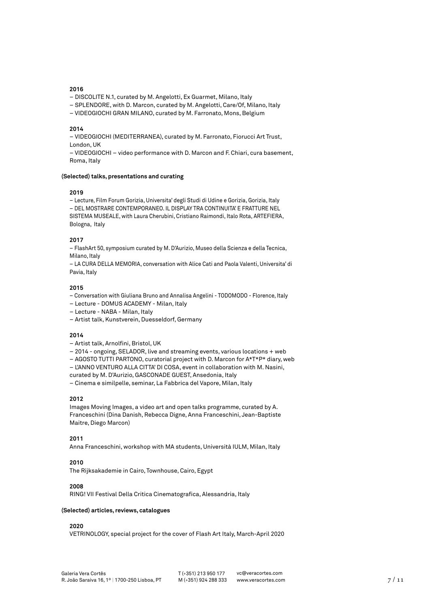– DISCOLITE N.1, curated by M. Angelotti, Ex Guarmet, Milano, Italy

- SPLENDORE, with D. Marcon, curated by M. Angelotti, Care/Of, Milano, Italy
- VIDEOGIOCHI GRAN MILANO, curated by M. Farronato, Mons, Belgium

#### **2014**

– VIDEOGIOCHI (MEDITERRANEA), curated by M. Farronato, Fiorucci Art Trust, London, UK

– VIDEOGIOCHI – video performance with D. Marcon and F. Chiari, cura basement, Roma, Italy

# **(Selected) talks, presentations and curating**

#### **2019**

– Lecture, Film Forum Gorizia, Universita' degli Studi di Udine e Gorizia, Gorizia, Italy – DEL MOSTRARE CONTEMPORANEO. IL DISPLAY TRA CONTINUITA' E FRATTURE NEL SISTEMA MUSEALE, with Laura Cherubini, Cristiano Raimondi, Italo Rota, ARTEFIERA, Bologna, Italy

# **2017**

– FlashArt 50, symposium curated by M. D'Aurizio, Museo della Scienza e della Tecnica, Milano, Italy

– LA CURA DELLA MEMORIA, conversation with Alice Cati and Paola Valenti, Universita' di Pavia, Italy

# **2015**

– Conversation with Giuliana Bruno and Annalisa Angelini - TODOMODO - Florence, Italy

– Lecture - DOMUS ACADEMY - Milan, Italy

– Lecture - NABA - Milan, Italy

– Artist talk, Kunstverein, Duesseldorf, Germany

#### **2014**

- Artist talk, Arnolfini, Bristol, UK
- 2014 ongoing, SELADOR, live and streaming events, various locations + web
- AGOSTO TUTTI PARTONO, curatorial project with D. Marcon for A\*T\*P\* diary, web
- L'ANNO VENTURO ALLA CITTA' DI COSA, event in collaboration with M. Nasini,
- curated by M. D'Aurizio, GASCONADE GUEST, Ansedonia, Italy

– Cinema e similpelle, seminar, La Fabbrica del Vapore, Milan, Italy

# **2012**

Images Moving Images, a video art and open talks programme, curated by A. Franceschini (Dina Danish, Rebecca Digne, Anna Franceschini, Jean-Baptiste Maitre, Diego Marcon)

# **2011**

Anna Franceschini, workshop with MA students, Università IULM, Milan, Italy

#### **2010**

The Rijksakademie in Cairo, Townhouse, Cairo, Egypt

### **2008**

RING! VII Festival Della Critica Cinematografica, Alessandria, Italy

# **(Selected) articles, reviews, catalogues**

# **2020**

VETRINOLOGY, special project for the cover of Flash Art Italy, March-April 2020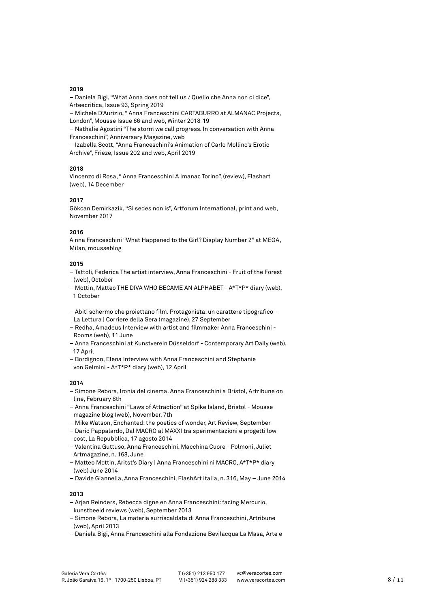– Daniela Bigi, "What Anna does not tell us / Quello che Anna non ci dice", Arteecritica, Issue 93, Spring 2019

– Michele D'Aurizio, " Anna Franceschini CARTABURRO at ALMANAC Projects, London", Mousse Issue 66 and web, Winter 2018-19

– Nathalie Agostini "The storm we call progress. In conversation with Anna Franceschini", Anniversary Magazine, web

– Izabella Scott, "Anna Franceschini's Animation of Carlo Mollino's Erotic Archive", Frieze, Issue 202 and web, April 2019

# **2018**

Vincenzo di Rosa, " Anna Franceschini A lmanac Torino", (review), Flashart (web), 14 December

# **2017**

Gökcan Demirkazik, "Si sedes non is", Artforum International, print and web, November 2017

# **2016**

A nna Franceschini "What Happened to the Girl? Display Number 2" at MEGA, Milan, mousseblog

# **2015**

- Tattoli, Federica The artist interview, Anna Franceschini Fruit of the Forest (web), October
- Mottin, Matteo THE DIVA WHO BECAME AN ALPHABET A\*T\*P\* diary (web), 1 October
- Abiti schermo che proiettano film. Protagonista: un carattere tipografico La Lettura | Corriere della Sera (magazine), 27 September
- Redha, Amadeus Interview with artist and filmmaker Anna Franceschini Rooms (web), 11 June
- Anna Franceschini at Kunstverein Düsseldorf Contemporary Art Daily (web), 17 April
- Bordignon, Elena Interview with Anna Franceschini and Stephanie von Gelmini - A\*T\*P\* diary (web), 12 April

# **2014**

- Simone Rebora, Ironia del cinema. Anna Franceschini a Bristol, Artribune on line, February 8th
- Anna Franceschini "Laws of Attraction" at Spike Island, Bristol Mousse magazine blog (web), November, 7th
- Mike Watson, Enchanted: the poetics of wonder, Art Review, September
- Dario Pappalardo, Dal MACRO al MAXXI tra sperimentazioni e progetti low cost, La Repubblica, 17 agosto 2014
- Valentina Guttuso, Anna Franceschini. Macchina Cuore Polmoni, Juliet Artmagazine, n. 168, June
- Matteo Mottin, Aritst's Diary | Anna Franceschini ni MACRO, A\*T\*P\* diary (web) June 2014
- Davide Giannella, Anna Franceschini, FlashArt italia, n. 316, May June 2014

- Arjan Reinders, Rebecca digne en Anna Franceschini: facing Mercurio, kunstbeeld reviews (web), September 2013
- Simone Rebora, La materia surriscaldata di Anna Franceschini, Artribune (web), April 2013
- Daniela Bigi, Anna Franceschini alla Fondazione Bevilacqua La Masa, Arte e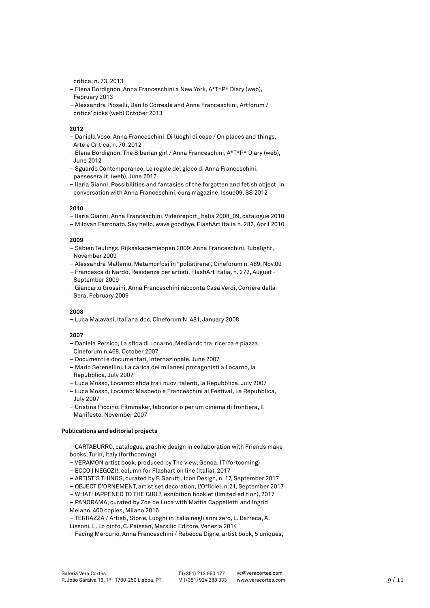critica, n. 73, 2013

- Elena Bordignon, Anna Franceschini a New York, A\*T\*P\* Diary (web), February 2013
- Alessandra Pioselli, Danilo Correale and Anna Franceschini, Artforum / critics' picks (web) October 2013

## **2012**

- Daniela Voso, Anna Franceschini. Di luoghi di cose / On places and things, Arte e Critica, n. 70, 2012
- Elena Bordignon, The Siberian girl / Anna Franceschini, A\*T\*P\* Diary (web), June 2012
- Sguardo Contemporaneo, Le regole del gioco di Anna Franceschini, paesesera.it, (web), June 2012
- Ilaria Gianni, Possibilities and fantasies of the forgotten and fetish object. In conversation with Anna Franceschini, cura magazine, Issue09, SS 2012

### **2010**

- Ilaria Gianni, Anna Franceschini, Videoreport\_Italia 2008\_09, catalogue 2010
- Milovan Farronato, Say hello, wave goodbye, FlashArt Italia n. 282, April 2010

#### **2009**

- Sabien Teulings, Rijksakademieopen 2009: Anna Franceschini, Tubelight, November 2009
- Alessandra Mallamo, Metamorfosi in "polistirene", Cineforum n. 489, Nov.09
- Francesca di Nardo, Residenze per artisti, FlashArt Italia, n. 272, August September 2009
- Giancarlo Grossini, Anna Franceschini racconta Casa Verdi, Corriere della Sera, February 2009

#### **2008**

– Luca Malavasi, Italiana.doc, Cineforum N. 481, January 2008

#### **2007**

- Daniela Persico, La sfida di Locarno, Mediando tra ricerca e piazza, Cineforum n.468, October 2007
- Documenti e documentari, Internazionale, June 2007
- Mario Serenellini, La carica dei milanesi protagonisti a Locarno, la Repubblica, July 2007
- Luca Mosso, Locarno: sfida tra i nuovi talenti, la Repubblica, July 2007
- Luca Mosso, Locarno: Masbedo e Franceschini al Festival, La Repubblica, July 2007
- Cristina Piccino, Filmmaker, laboratorio per um cinema di frontiera, Il Manifesto, November 2007

### **Publications and editorial projects**

- CARTABURRO, catalogue, graphic design in collaboration with Friends make books, Turin, Italy (forthcoming)
- VERAMON artist book, produced by The view, Genoa, IT (fortcoming)
- ECCO I NEGOZI!, column for Flashart on line (Italia), 2017
- ARTIST'S THINGS, curated by F. Garutti, Icon Design, n. 17, September 2017
- OBJECT D'ORNEMENT, artist set decoration, L'Officiel, n.21, September 2017
- WHAT HAPPENED TO THE GIRL?, exhibition booklet (limited edition), 2017
- PANORAMA, curated by Zoe de Luca with Mattia Cappelletti and Ingrid
- Melano, 400 copies, Milano 2016
- TERRAZZA / Artisti, Storie, Luoghi in Italia negli anni zero, L. Barreca, A. Lissoni, L. Lo pinto, C. Paissan, Marsilio Editore, Venezia 2014
- Facing Mercurio, Anna Franceschini / Rebecca Digne, artist book, 5 uniques,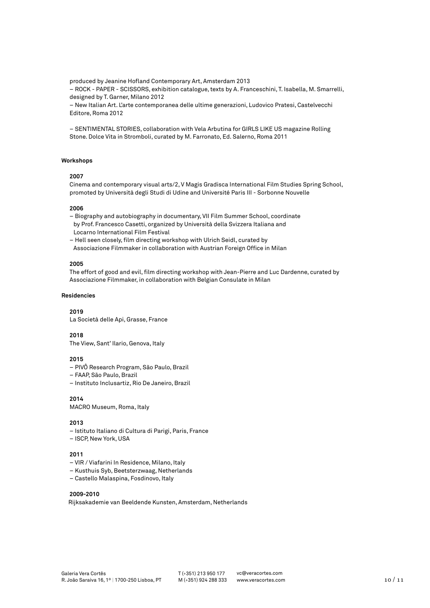produced by Jeanine Hofland Contemporary Art, Amsterdam 2013

– ROCK - PAPER - SCISSORS, exhibition catalogue, texts by A. Franceschini, T. Isabella, M. Smarrelli, designed by T. Garner, Milano 2012

– New Italian Art. L'arte contemporanea delle ultime generazioni, Ludovico Pratesi, Castelvecchi Editore, Roma 2012

– SENTIMENTAL STORIES, collaboration with Vela Arbutina for GIRLS LIKE US magazine Rolling Stone. Dolce Vita in Stromboli, curated by M. Farronato, Ed. Salerno, Roma 2011

# **Workshops**

# **2007**

Cinema and contemporary visual arts/2, V Magis Gradisca International Film Studies Spring School, promoted by Università degli Studi di Udine and Université Paris III - Sorbonne Nouvelle

#### **2006**

– Biography and autobiography in documentary, VII Film Summer School, coordinate by Prof. Francesco Casetti, organized by Università della Svizzera Italiana and Locarno International Film Festival

– Hell seen closely, film directing workshop with Ulrich Seidl, curated by Associazione Filmmaker in collaboration with Austrian Foreign Office in Milan

# **2005**

The effort of good and evil, film directing workshop with Jean-Pierre and Luc Dardenne, curated by Associazione Filmmaker, in collaboration with Belgian Consulate in Milan

#### **Residencies**

#### **2019**

La Società delle Api, Grasse, France

#### **2018**

The View, Sant' Ilario, Genova, Italy

# **2015**

– PIVÔ Research Program, São Paulo, Brazil

– FAAP, São Paulo, Brazil

– Instituto Inclusartiz, Rio De Janeiro, Brazil

**2014**

MACRO Museum, Roma, Italy

# **2013**

- Istituto Italiano di Cultura di Parigi, Paris, France
- ISCP, New York, USA

# **2011**

- VIR / Viafarini In Residence, Milano, Italy
- Kusthuis Syb, Beetsterzwaag, Netherlands
- Castello Malaspina, Fosdinovo, Italy

# **2009-2010**

Rijksakademie van Beeldende Kunsten, Amsterdam, Netherlands